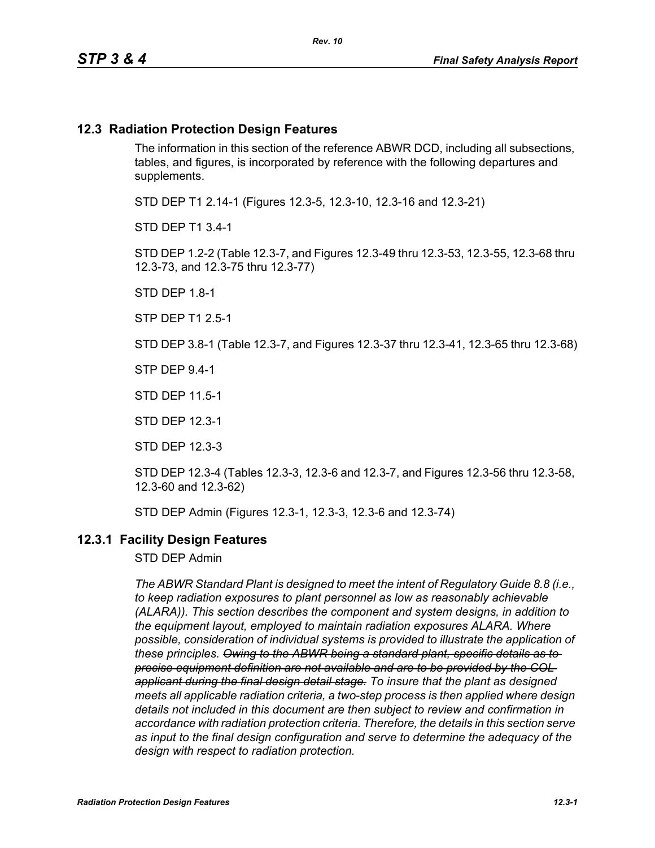#### **12.3 Radiation Protection Design Features**

The information in this section of the reference ABWR DCD, including all subsections, tables, and figures, is incorporated by reference with the following departures and supplements.

STD DEP T1 2.14-1 (Figures 12.3-5, 12.3-10, 12.3-16 and 12.3-21)

STD DEP T1 3.4-1

STD DEP 1.2-2 (Table 12.3-7, and Figures 12.3-49 thru 12.3-53, 12.3-55, 12.3-68 thru 12.3-73, and 12.3-75 thru 12.3-77)

STD DEP 1.8-1

STP DEP T1 2.5-1

STD DEP 3.8-1 (Table 12.3-7, and Figures 12.3-37 thru 12.3-41, 12.3-65 thru 12.3-68)

STP DEP 9.4-1

STD DEP 11.5-1

STD DEP 12.3-1

STD DEP 12.3-3

STD DEP 12.3-4 (Tables 12.3-3, 12.3-6 and 12.3-7, and Figures 12.3-56 thru 12.3-58, 12.3-60 and 12.3-62)

STD DEP Admin (Figures 12.3-1, 12.3-3, 12.3-6 and 12.3-74)

#### **12.3.1 Facility Design Features**

STD DEP Admin

*The ABWR Standard Plant is designed to meet the intent of Regulatory Guide 8.8 (i.e., to keep radiation exposures to plant personnel as low as reasonably achievable (ALARA)). This section describes the component and system designs, in addition to the equipment layout, employed to maintain radiation exposures ALARA. Where possible, consideration of individual systems is provided to illustrate the application of these principles. Owing to the ABWR being a standard plant, specific details as to precise equipment definition are not available and are to be provided by the COL applicant during the final design detail stage. To insure that the plant as designed meets all applicable radiation criteria, a two-step process is then applied where design details not included in this document are then subject to review and confirmation in accordance with radiation protection criteria. Therefore, the details in this section serve as input to the final design configuration and serve to determine the adequacy of the design with respect to radiation protection.*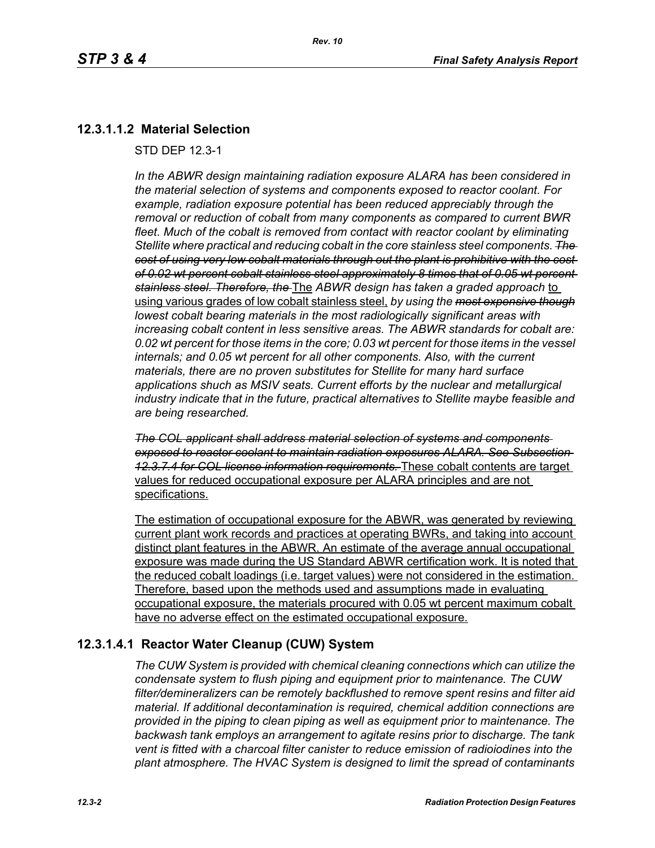## **12.3.1.1.2 Material Selection**

STD DEP 12.3-1

*In the ABWR design maintaining radiation exposure ALARA has been considered in the material selection of systems and components exposed to reactor coolant. For example, radiation exposure potential has been reduced appreciably through the removal or reduction of cobalt from many components as compared to current BWR fleet. Much of the cobalt is removed from contact with reactor coolant by eliminating Stellite where practical and reducing cobalt in the core stainless steel components. The cost of using very low cobalt materials through out the plant is prohibitive with the cost of 0.02 wt percent cobalt stainless steel approximately 8 times that of 0.05 wt percent stainless steel. Therefore, the* The *ABWR design has taken a graded approach* to using various grades of low cobalt stainless steel, *by using the most expensive though lowest cobalt bearing materials in the most radiologically significant areas with increasing cobalt content in less sensitive areas. The ABWR standards for cobalt are: 0.02 wt percent for those items in the core; 0.03 wt percent for those items in the vessel internals; and 0.05 wt percent for all other components. Also, with the current materials, there are no proven substitutes for Stellite for many hard surface applications shuch as MSIV seats. Current efforts by the nuclear and metallurgical industry indicate that in the future, practical alternatives to Stellite maybe feasible and are being researched.*

*The COL applicant shall address material selection of systems and components exposed to reactor coolant to maintain radiation exposures ALARA. See Subsection 12.3.7.4 for COL license information requirements.* These cobalt contents are target values for reduced occupational exposure per ALARA principles and are not specifications.

The estimation of occupational exposure for the ABWR, was generated by reviewing current plant work records and practices at operating BWRs, and taking into account distinct plant features in the ABWR. An estimate of the average annual occupational exposure was made during the US Standard ABWR certification work. It is noted that the reduced cobalt loadings (i.e. target values) were not considered in the estimation. Therefore, based upon the methods used and assumptions made in evaluating occupational exposure, the materials procured with 0.05 wt percent maximum cobalt have no adverse effect on the estimated occupational exposure.

### **12.3.1.4.1 Reactor Water Cleanup (CUW) System**

*The CUW System is provided with chemical cleaning connections which can utilize the condensate system to flush piping and equipment prior to maintenance. The CUW filter/demineralizers can be remotely backflushed to remove spent resins and filter aid material. If additional decontamination is required, chemical addition connections are provided in the piping to clean piping as well as equipment prior to maintenance. The backwash tank employs an arrangement to agitate resins prior to discharge. The tank vent is fitted with a charcoal filter canister to reduce emission of radioiodines into the plant atmosphere. The HVAC System is designed to limit the spread of contaminants*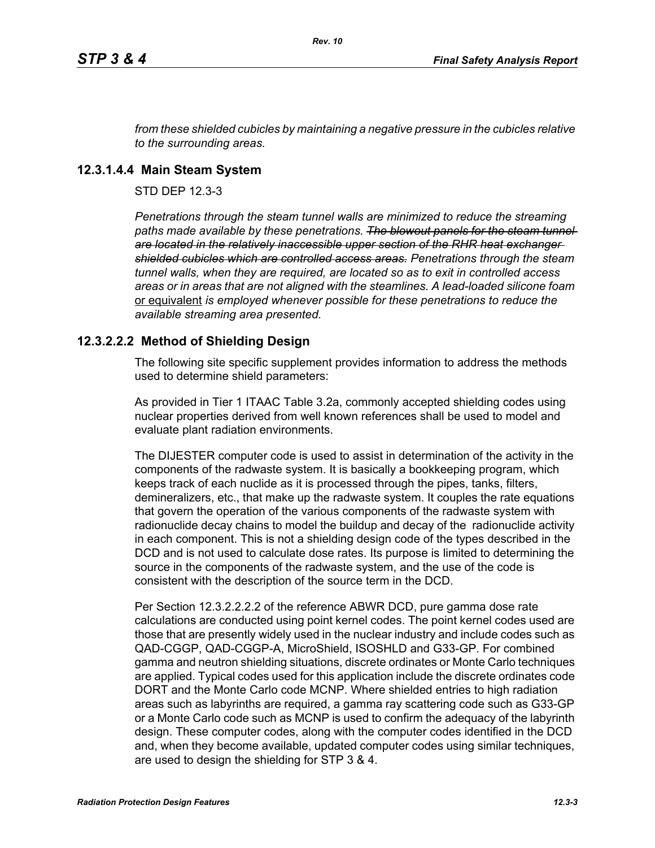*from these shielded cubicles by maintaining a negative pressure in the cubicles relative to the surrounding areas.*

#### **12.3.1.4.4 Main Steam System**

STD DEP 12.3-3

*Penetrations through the steam tunnel walls are minimized to reduce the streaming*  paths made available by these penetrations. The blowout panels for the steam tunnel*are located in the relatively inaccessible upper section of the RHR heat exchanger shielded cubicles which are controlled access areas. Penetrations through the steam tunnel walls, when they are required, are located so as to exit in controlled access areas or in areas that are not aligned with the steamlines. A lead-loaded silicone foam*  or equivalent *is employed whenever possible for these penetrations to reduce the available streaming area presented.*

### **12.3.2.2.2 Method of Shielding Design**

The following site specific supplement provides information to address the methods used to determine shield parameters:

As provided in Tier 1 ITAAC Table 3.2a, commonly accepted shielding codes using nuclear properties derived from well known references shall be used to model and evaluate plant radiation environments.

The DIJESTER computer code is used to assist in determination of the activity in the components of the radwaste system. It is basically a bookkeeping program, which keeps track of each nuclide as it is processed through the pipes, tanks, filters, demineralizers, etc., that make up the radwaste system. It couples the rate equations that govern the operation of the various components of the radwaste system with radionuclide decay chains to model the buildup and decay of the radionuclide activity in each component. This is not a shielding design code of the types described in the DCD and is not used to calculate dose rates. Its purpose is limited to determining the source in the components of the radwaste system, and the use of the code is consistent with the description of the source term in the DCD.

Per Section 12.3.2.2.2.2 of the reference ABWR DCD, pure gamma dose rate calculations are conducted using point kernel codes. The point kernel codes used are those that are presently widely used in the nuclear industry and include codes such as QAD-CGGP, QAD-CGGP-A, MicroShield, ISOSHLD and G33-GP. For combined gamma and neutron shielding situations, discrete ordinates or Monte Carlo techniques are applied. Typical codes used for this application include the discrete ordinates code DORT and the Monte Carlo code MCNP. Where shielded entries to high radiation areas such as labyrinths are required, a gamma ray scattering code such as G33-GP or a Monte Carlo code such as MCNP is used to confirm the adequacy of the labyrinth design. These computer codes, along with the computer codes identified in the DCD and, when they become available, updated computer codes using similar techniques, are used to design the shielding for STP 3 & 4.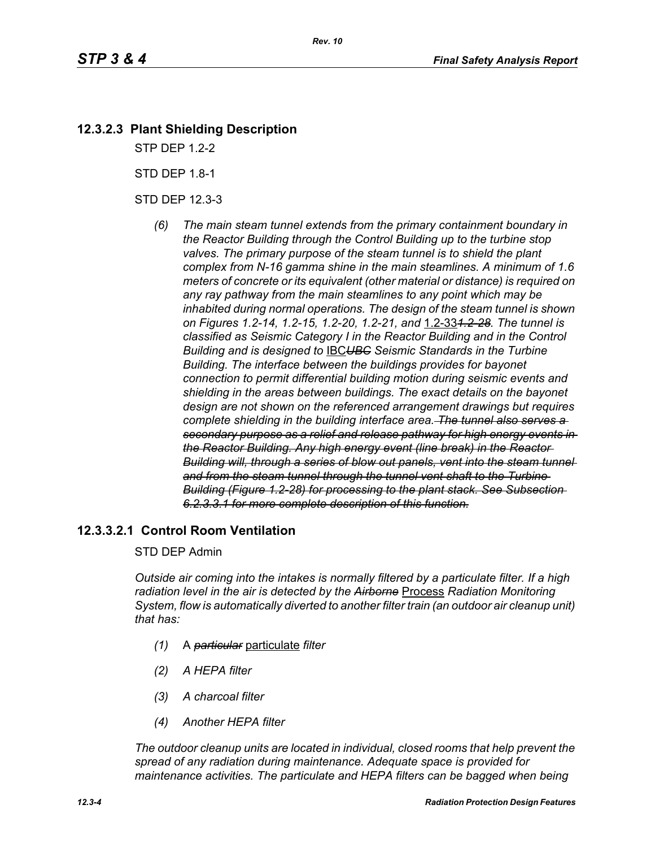## **12.3.2.3 Plant Shielding Description**

STP DEP 1.2-2

STD DEP 1.8-1

STD DEP 12.3-3

*(6) The main steam tunnel extends from the primary containment boundary in the Reactor Building through the Control Building up to the turbine stop valves. The primary purpose of the steam tunnel is to shield the plant complex from N-16 gamma shine in the main steamlines. A minimum of 1.6 meters of concrete or its equivalent (other material or distance) is required on any ray pathway from the main steamlines to any point which may be inhabited during normal operations. The design of the steam tunnel is shown on Figures 1.2-14, 1.2-15, 1.2-20, 1.2-21, and* 1.2-33*1.2-28. The tunnel is classified as Seismic Category I in the Reactor Building and in the Control Building and is designed to* IBC*UBC Seismic Standards in the Turbine Building. The interface between the buildings provides for bayonet connection to permit differential building motion during seismic events and shielding in the areas between buildings. The exact details on the bayonet design are not shown on the referenced arrangement drawings but requires complete shielding in the building interface area. The tunnel also serves a secondary purpose as a relief and release pathway for high energy events in the Reactor Building. Any high energy event (line break) in the Reactor Building will, through a series of blow out panels, vent into the steam tunnel and from the steam tunnel through the tunnel vent shaft to the Turbine Building (Figure 1.2-28) for processing to the plant stack. See Subsection 6.2.3.3.1 for more complete description of this function.*

## **12.3.3.2.1 Control Room Ventilation**

#### STD DEP Admin

*Outside air coming into the intakes is normally filtered by a particulate filter. If a high radiation level in the air is detected by the Airborne* Process *Radiation Monitoring System, flow is automatically diverted to another filter train (an outdoor air cleanup unit) that has:*

- *(1)* A *particular* particulate *filter*
- *(2) A HEPA filter*
- *(3) A charcoal filter*
- *(4) Another HEPA filter*

*The outdoor cleanup units are located in individual, closed rooms that help prevent the spread of any radiation during maintenance. Adequate space is provided for maintenance activities. The particulate and HEPA filters can be bagged when being*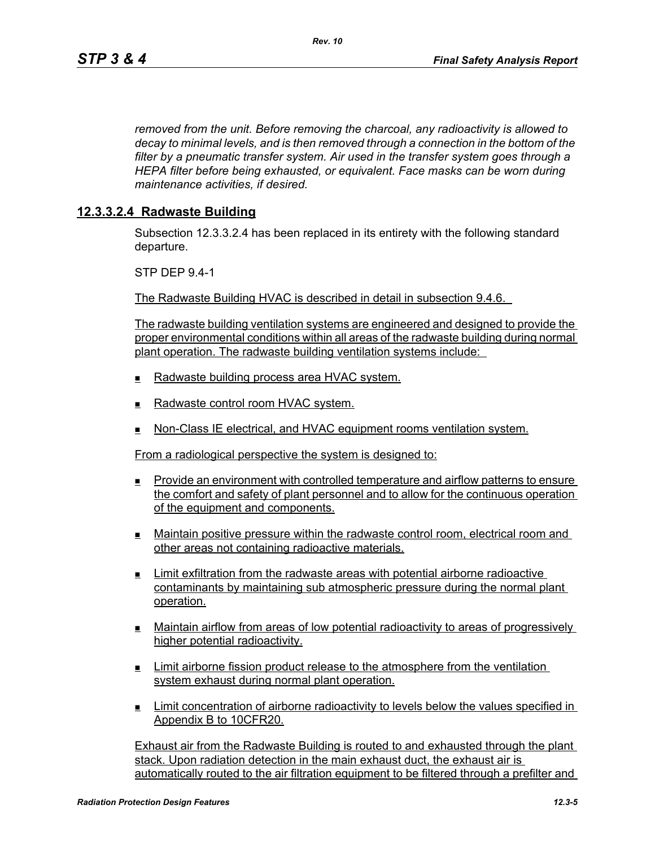*removed from the unit. Before removing the charcoal, any radioactivity is allowed to decay to minimal levels, and is then removed through a connection in the bottom of the filter by a pneumatic transfer system. Air used in the transfer system goes through a HEPA filter before being exhausted, or equivalent. Face masks can be worn during maintenance activities, if desired.*

#### **12.3.3.2.4 Radwaste Building**

Subsection 12.3.3.2.4 has been replaced in its entirety with the following standard departure.

STP DEP 9.4-1

The Radwaste Building HVAC is described in detail in subsection 9.4.6.

The radwaste building ventilation systems are engineered and designed to provide the proper environmental conditions within all areas of the radwaste building during normal plant operation. The radwaste building ventilation systems include:

- Radwaste building process area HVAC system.
- $\blacksquare$  Radwaste control room HVAC system.
- **Non-Class IE electrical, and HVAC equipment rooms ventilation system.**

From a radiological perspective the system is designed to:

- Provide an environment with controlled temperature and airflow patterns to ensure the comfort and safety of plant personnel and to allow for the continuous operation of the equipment and components.
- Maintain positive pressure within the radwaste control room, electrical room and other areas not containing radioactive materials.
- Limit exfiltration from the radwaste areas with potential airborne radioactive contaminants by maintaining sub atmospheric pressure during the normal plant operation.
- Maintain airflow from areas of low potential radioactivity to areas of progressively higher potential radioactivity.
- **Limit airborne fission product release to the atmosphere from the ventilation** system exhaust during normal plant operation.
- Limit concentration of airborne radioactivity to levels below the values specified in Appendix B to 10CFR20.

Exhaust air from the Radwaste Building is routed to and exhausted through the plant stack. Upon radiation detection in the main exhaust duct, the exhaust air is automatically routed to the air filtration equipment to be filtered through a prefilter and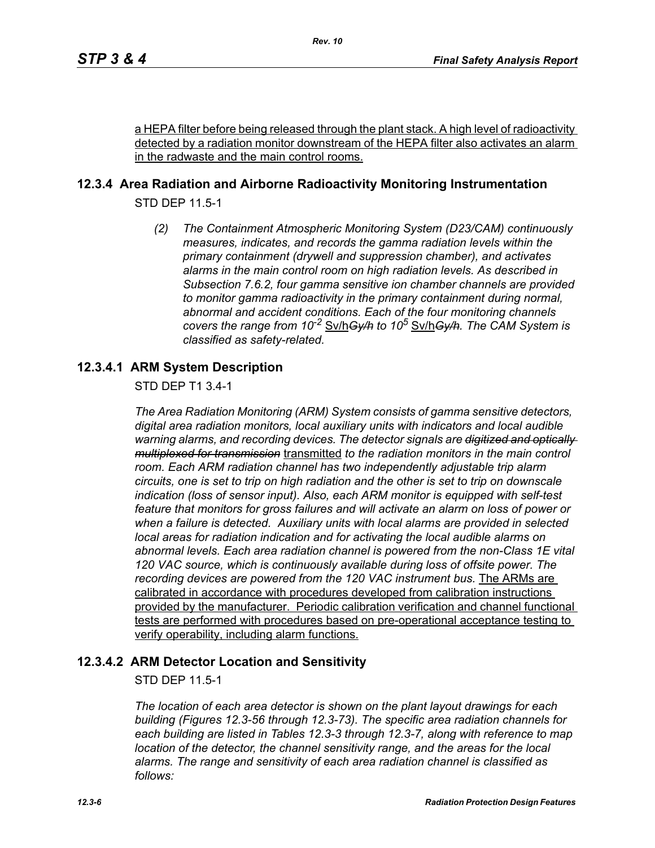a HEPA filter before being released through the plant stack. A high level of radioactivity detected by a radiation monitor downstream of the HEPA filter also activates an alarm in the radwaste and the main control rooms.

## **12.3.4 Area Radiation and Airborne Radioactivity Monitoring Instrumentation**

STD DEP 11.5-1

*(2) The Containment Atmospheric Monitoring System (D23/CAM) continuously measures, indicates, and records the gamma radiation levels within the primary containment (drywell and suppression chamber), and activates alarms in the main control room on high radiation levels. As described in Subsection 7.6.2, four gamma sensitive ion chamber channels are provided to monitor gamma radioactivity in the primary containment during normal, abnormal and accident conditions. Each of the four monitoring channels covers the range from 10-2* Sv/h*Gy/h to 10<sup>5</sup>* Sv/h*Gy/h. The CAM System is classified as safety-related.*

## **12.3.4.1 ARM System Description**

STD DEP T1 3.4-1

*The Area Radiation Monitoring (ARM) System consists of gamma sensitive detectors, digital area radiation monitors, local auxiliary units with indicators and local audible warning alarms, and recording devices. The detector signals are digitized and optically multiplexed for transmission* transmitted *to the radiation monitors in the main control room. Each ARM radiation channel has two independently adjustable trip alarm circuits, one is set to trip on high radiation and the other is set to trip on downscale indication (loss of sensor input). Also, each ARM monitor is equipped with self-test feature that monitors for gross failures and will activate an alarm on loss of power or when a failure is detected. Auxiliary units with local alarms are provided in selected local areas for radiation indication and for activating the local audible alarms on abnormal levels. Each area radiation channel is powered from the non-Class 1E vital 120 VAC source, which is continuously available during loss of offsite power. The recording devices are powered from the 120 VAC instrument bus.* The ARMs are calibrated in accordance with procedures developed from calibration instructions provided by the manufacturer. Periodic calibration verification and channel functional tests are performed with procedures based on pre-operational acceptance testing to verify operability, including alarm functions.

### **12.3.4.2 ARM Detector Location and Sensitivity**

STD DEP 11.5-1

*The location of each area detector is shown on the plant layout drawings for each building (Figures 12.3-56 through 12.3-73). The specific area radiation channels for each building are listed in Tables 12.3-3 through 12.3-7, along with reference to map location of the detector, the channel sensitivity range, and the areas for the local alarms. The range and sensitivity of each area radiation channel is classified as follows:*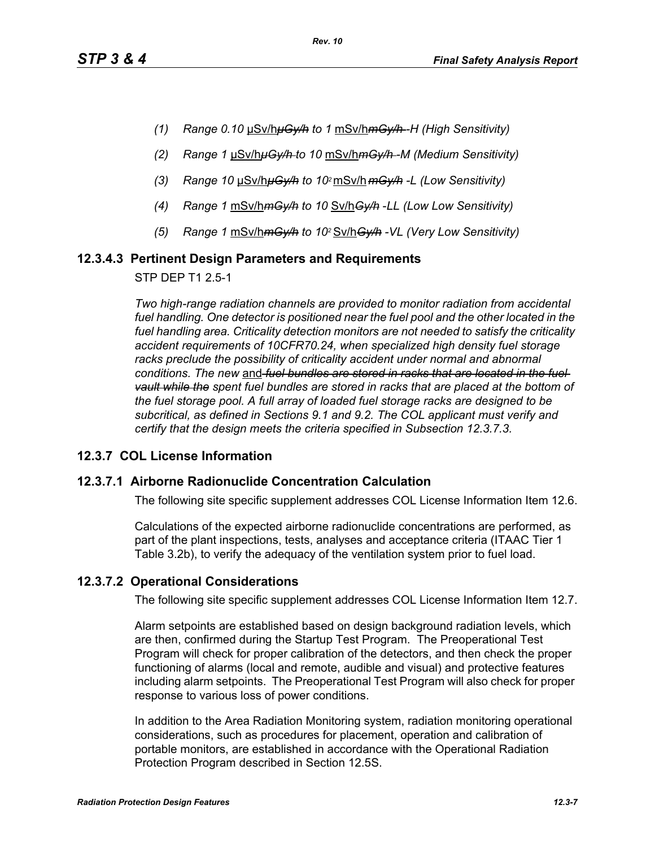- *(1) Range 0.10* μSv/h*μGy/h to 1* mSv/h*mGy/h -H (High Sensitivity)*
- *(2) Range 1* μSv/h*μGy/h to 10* mSv/h*mGy/h -M (Medium Sensitivity)*
- *(3) Range 10* μSv/h*μGy/h to 102* mSv/h *mGy/h -L (Low Sensitivity)*
- *(4) Range 1* mSv/h*mGy/h to 10* Sv/h*Gy/h* -*LL (Low Low Sensitivity)*
- *(5) Range 1* mSv/h*mGy/h to 102* Sv/h*Gy/h -VL (Very Low Sensitivity)*

### **12.3.4.3 Pertinent Design Parameters and Requirements**

STP DEP T1 2.5-1

*Two high-range radiation channels are provided to monitor radiation from accidental*  fuel handling. One detector is positioned near the fuel pool and the other located in the *fuel handling area. Criticality detection monitors are not needed to satisfy the criticality accident requirements of 10CFR70.24, when specialized high density fuel storage*  racks preclude the possibility of criticality accident under normal and abnormal *conditions. The new* and *fuel bundles are stored in racks that are located in the fuel vault while the spent fuel bundles are stored in racks that are placed at the bottom of the fuel storage pool. A full array of loaded fuel storage racks are designed to be subcritical, as defined in Sections 9.1 and 9.2. The COL applicant must verify and certify that the design meets the criteria specified in Subsection 12.3.7.3.*

### **12.3.7 COL License Information**

#### **12.3.7.1 Airborne Radionuclide Concentration Calculation**

The following site specific supplement addresses COL License Information Item 12.6.

Calculations of the expected airborne radionuclide concentrations are performed, as part of the plant inspections, tests, analyses and acceptance criteria (ITAAC Tier 1 Table 3.2b), to verify the adequacy of the ventilation system prior to fuel load.

### **12.3.7.2 Operational Considerations**

The following site specific supplement addresses COL License Information Item 12.7.

Alarm setpoints are established based on design background radiation levels, which are then, confirmed during the Startup Test Program. The Preoperational Test Program will check for proper calibration of the detectors, and then check the proper functioning of alarms (local and remote, audible and visual) and protective features including alarm setpoints. The Preoperational Test Program will also check for proper response to various loss of power conditions.

In addition to the Area Radiation Monitoring system, radiation monitoring operational considerations, such as procedures for placement, operation and calibration of portable monitors, are established in accordance with the Operational Radiation Protection Program described in Section 12.5S.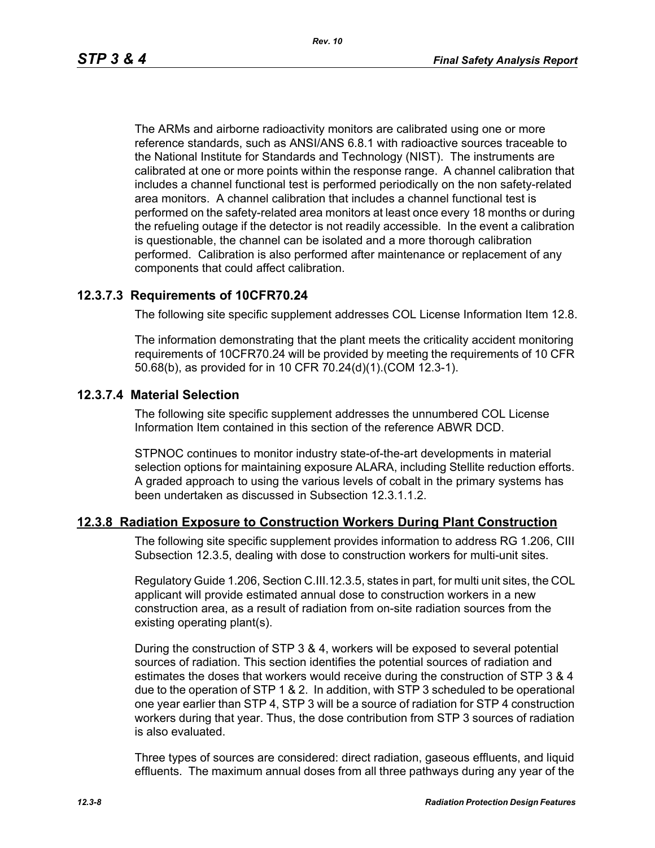The ARMs and airborne radioactivity monitors are calibrated using one or more reference standards, such as ANSI/ANS 6.8.1 with radioactive sources traceable to the National Institute for Standards and Technology (NIST). The instruments are calibrated at one or more points within the response range. A channel calibration that includes a channel functional test is performed periodically on the non safety-related area monitors. A channel calibration that includes a channel functional test is performed on the safety-related area monitors at least once every 18 months or during the refueling outage if the detector is not readily accessible. In the event a calibration is questionable, the channel can be isolated and a more thorough calibration performed. Calibration is also performed after maintenance or replacement of any components that could affect calibration.

#### **12.3.7.3 Requirements of 10CFR70.24**

The following site specific supplement addresses COL License Information Item 12.8.

The information demonstrating that the plant meets the criticality accident monitoring requirements of 10CFR70.24 will be provided by meeting the requirements of 10 CFR 50.68(b), as provided for in 10 CFR 70.24(d)(1).(COM 12.3-1).

#### **12.3.7.4 Material Selection**

The following site specific supplement addresses the unnumbered COL License Information Item contained in this section of the reference ABWR DCD.

STPNOC continues to monitor industry state-of-the-art developments in material selection options for maintaining exposure ALARA, including Stellite reduction efforts. A graded approach to using the various levels of cobalt in the primary systems has been undertaken as discussed in Subsection 12.3.1.1.2.

#### **12.3.8 Radiation Exposure to Construction Workers During Plant Construction**

The following site specific supplement provides information to address RG 1.206, CIII Subsection 12.3.5, dealing with dose to construction workers for multi-unit sites.

Regulatory Guide 1.206, Section C.III.12.3.5, states in part, for multi unit sites, the COL applicant will provide estimated annual dose to construction workers in a new construction area, as a result of radiation from on-site radiation sources from the existing operating plant(s).

During the construction of STP 3 & 4, workers will be exposed to several potential sources of radiation. This section identifies the potential sources of radiation and estimates the doses that workers would receive during the construction of STP 3 & 4 due to the operation of STP 1 & 2. In addition, with STP 3 scheduled to be operational one year earlier than STP 4, STP 3 will be a source of radiation for STP 4 construction workers during that year. Thus, the dose contribution from STP 3 sources of radiation is also evaluated.

Three types of sources are considered: direct radiation, gaseous effluents, and liquid effluents. The maximum annual doses from all three pathways during any year of the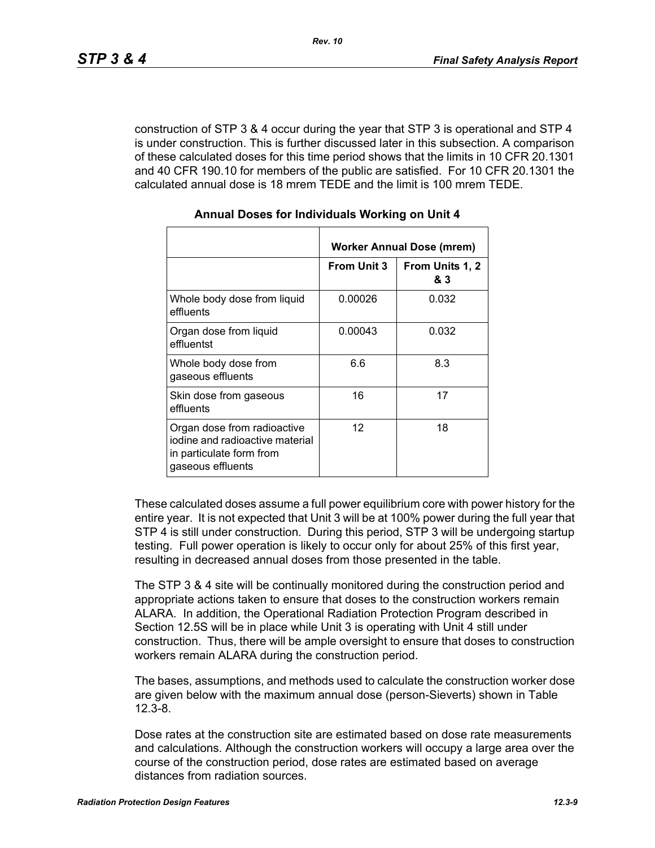construction of STP 3 & 4 occur during the year that STP 3 is operational and STP 4 is under construction. This is further discussed later in this subsection. A comparison of these calculated doses for this time period shows that the limits in 10 CFR 20.1301 and 40 CFR 190.10 for members of the public are satisfied. For 10 CFR 20.1301 the calculated annual dose is 18 mrem TEDE and the limit is 100 mrem TEDE.

|                                                                                                                 | Worker Annual Dose (mrem) |                        |  |  |
|-----------------------------------------------------------------------------------------------------------------|---------------------------|------------------------|--|--|
|                                                                                                                 | <b>From Unit 3</b>        | From Units 1, 2<br>& 3 |  |  |
| Whole body dose from liquid<br>effluents                                                                        | 0.00026                   | 0.032                  |  |  |
| Organ dose from liquid<br>effluentst                                                                            | 0.00043                   | 0.032                  |  |  |
| Whole body dose from<br>gaseous effluents                                                                       | 6.6                       | 8.3                    |  |  |
| Skin dose from gaseous<br>effluents                                                                             | 16                        | 17                     |  |  |
| Organ dose from radioactive<br>jodine and radioactive material<br>in particulate form from<br>gaseous effluents | 12                        | 18                     |  |  |

#### **Annual Doses for Individuals Working on Unit 4**

These calculated doses assume a full power equilibrium core with power history for the entire year. It is not expected that Unit 3 will be at 100% power during the full year that STP 4 is still under construction. During this period, STP 3 will be undergoing startup testing. Full power operation is likely to occur only for about 25% of this first year, resulting in decreased annual doses from those presented in the table.

The STP 3 & 4 site will be continually monitored during the construction period and appropriate actions taken to ensure that doses to the construction workers remain ALARA. In addition, the Operational Radiation Protection Program described in Section 12.5S will be in place while Unit 3 is operating with Unit 4 still under construction. Thus, there will be ample oversight to ensure that doses to construction workers remain ALARA during the construction period.

The bases, assumptions, and methods used to calculate the construction worker dose are given below with the maximum annual dose (person-Sieverts) shown in Table 12.3-8.

Dose rates at the construction site are estimated based on dose rate measurements and calculations. Although the construction workers will occupy a large area over the course of the construction period, dose rates are estimated based on average distances from radiation sources.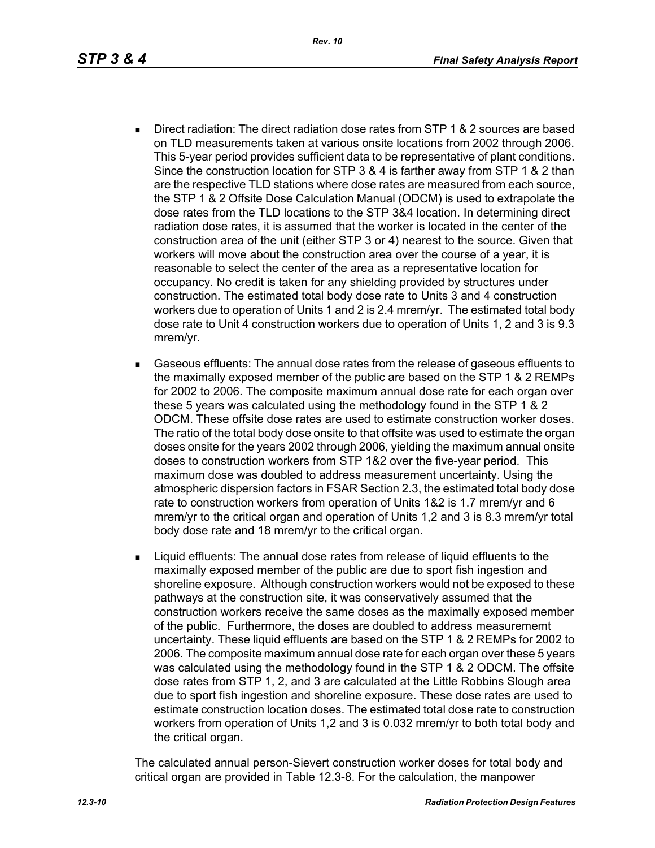- Direct radiation: The direct radiation dose rates from STP 1 & 2 sources are based on TLD measurements taken at various onsite locations from 2002 through 2006. This 5-year period provides sufficient data to be representative of plant conditions. Since the construction location for STP 3 & 4 is farther away from STP 1 & 2 than are the respective TLD stations where dose rates are measured from each source, the STP 1 & 2 Offsite Dose Calculation Manual (ODCM) is used to extrapolate the dose rates from the TLD locations to the STP 3&4 location. In determining direct radiation dose rates, it is assumed that the worker is located in the center of the construction area of the unit (either STP 3 or 4) nearest to the source. Given that workers will move about the construction area over the course of a year, it is reasonable to select the center of the area as a representative location for occupancy. No credit is taken for any shielding provided by structures under construction. The estimated total body dose rate to Units 3 and 4 construction workers due to operation of Units 1 and 2 is 2.4 mrem/yr. The estimated total body dose rate to Unit 4 construction workers due to operation of Units 1, 2 and 3 is 9.3 mrem/yr.
- Gaseous effluents: The annual dose rates from the release of gaseous effluents to the maximally exposed member of the public are based on the STP 1 & 2 REMPs for 2002 to 2006. The composite maximum annual dose rate for each organ over these 5 years was calculated using the methodology found in the STP 1 & 2 ODCM. These offsite dose rates are used to estimate construction worker doses. The ratio of the total body dose onsite to that offsite was used to estimate the organ doses onsite for the years 2002 through 2006, yielding the maximum annual onsite doses to construction workers from STP 1&2 over the five-year period. This maximum dose was doubled to address measurement uncertainty. Using the atmospheric dispersion factors in FSAR Section 2.3, the estimated total body dose rate to construction workers from operation of Units 1&2 is 1.7 mrem/yr and 6 mrem/yr to the critical organ and operation of Units 1,2 and 3 is 8.3 mrem/yr total body dose rate and 18 mrem/yr to the critical organ.
- **EXECT** Liquid effluents: The annual dose rates from release of liquid effluents to the maximally exposed member of the public are due to sport fish ingestion and shoreline exposure. Although construction workers would not be exposed to these pathways at the construction site, it was conservatively assumed that the construction workers receive the same doses as the maximally exposed member of the public. Furthermore, the doses are doubled to address measurememt uncertainty. These liquid effluents are based on the STP 1 & 2 REMPs for 2002 to 2006. The composite maximum annual dose rate for each organ over these 5 years was calculated using the methodology found in the STP 1 & 2 ODCM. The offsite dose rates from STP 1, 2, and 3 are calculated at the Little Robbins Slough area due to sport fish ingestion and shoreline exposure. These dose rates are used to estimate construction location doses. The estimated total dose rate to construction workers from operation of Units 1,2 and 3 is 0.032 mrem/yr to both total body and the critical organ.

The calculated annual person-Sievert construction worker doses for total body and critical organ are provided in Table 12.3-8. For the calculation, the manpower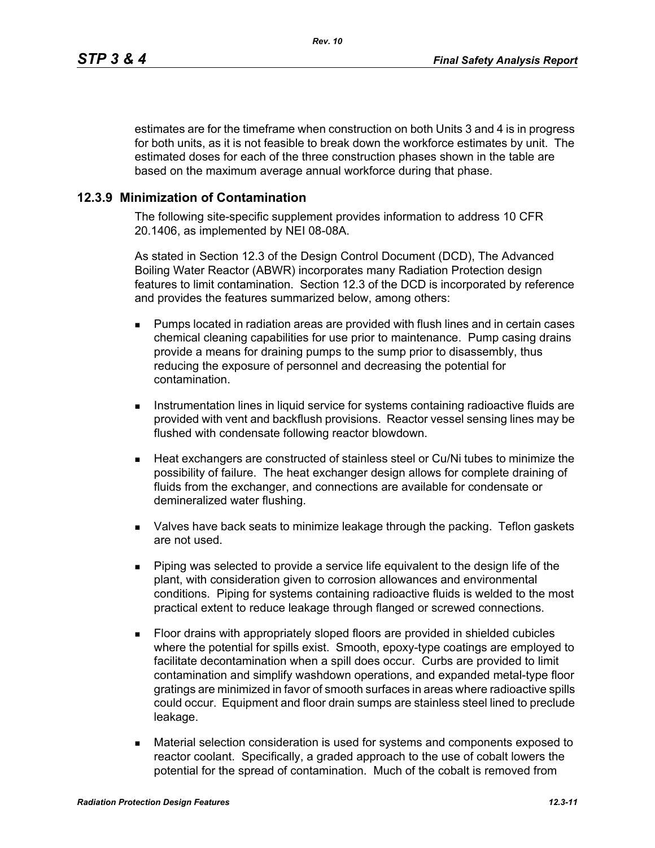estimates are for the timeframe when construction on both Units 3 and 4 is in progress for both units, as it is not feasible to break down the workforce estimates by unit. The estimated doses for each of the three construction phases shown in the table are based on the maximum average annual workforce during that phase.

#### **12.3.9 Minimization of Contamination**

The following site-specific supplement provides information to address 10 CFR 20.1406, as implemented by NEI 08-08A.

As stated in Section 12.3 of the Design Control Document (DCD), The Advanced Boiling Water Reactor (ABWR) incorporates many Radiation Protection design features to limit contamination. Section 12.3 of the DCD is incorporated by reference and provides the features summarized below, among others:

- **Pumps located in radiation areas are provided with flush lines and in certain cases** chemical cleaning capabilities for use prior to maintenance. Pump casing drains provide a means for draining pumps to the sump prior to disassembly, thus reducing the exposure of personnel and decreasing the potential for contamination.
- **Instrumentation lines in liquid service for systems containing radioactive fluids are** provided with vent and backflush provisions. Reactor vessel sensing lines may be flushed with condensate following reactor blowdown.
- Heat exchangers are constructed of stainless steel or Cu/Ni tubes to minimize the possibility of failure. The heat exchanger design allows for complete draining of fluids from the exchanger, and connections are available for condensate or demineralized water flushing.
- Valves have back seats to minimize leakage through the packing. Teflon gaskets are not used.
- Piping was selected to provide a service life equivalent to the design life of the plant, with consideration given to corrosion allowances and environmental conditions. Piping for systems containing radioactive fluids is welded to the most practical extent to reduce leakage through flanged or screwed connections.
- Floor drains with appropriately sloped floors are provided in shielded cubicles where the potential for spills exist. Smooth, epoxy-type coatings are employed to facilitate decontamination when a spill does occur. Curbs are provided to limit contamination and simplify washdown operations, and expanded metal-type floor gratings are minimized in favor of smooth surfaces in areas where radioactive spills could occur. Equipment and floor drain sumps are stainless steel lined to preclude leakage.
- Material selection consideration is used for systems and components exposed to reactor coolant. Specifically, a graded approach to the use of cobalt lowers the potential for the spread of contamination. Much of the cobalt is removed from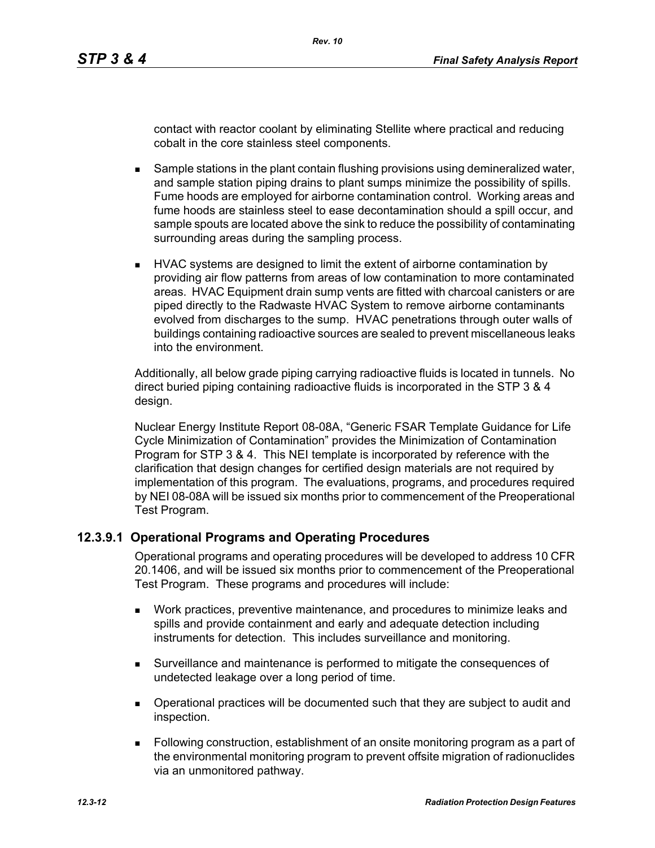contact with reactor coolant by eliminating Stellite where practical and reducing cobalt in the core stainless steel components.

- **Sample stations in the plant contain flushing provisions using demineralized water,** and sample station piping drains to plant sumps minimize the possibility of spills. Fume hoods are employed for airborne contamination control. Working areas and fume hoods are stainless steel to ease decontamination should a spill occur, and sample spouts are located above the sink to reduce the possibility of contaminating surrounding areas during the sampling process.
- **HVAC systems are designed to limit the extent of airborne contamination by** providing air flow patterns from areas of low contamination to more contaminated areas. HVAC Equipment drain sump vents are fitted with charcoal canisters or are piped directly to the Radwaste HVAC System to remove airborne contaminants evolved from discharges to the sump. HVAC penetrations through outer walls of buildings containing radioactive sources are sealed to prevent miscellaneous leaks into the environment.

Additionally, all below grade piping carrying radioactive fluids is located in tunnels. No direct buried piping containing radioactive fluids is incorporated in the STP 3 & 4 design.

Nuclear Energy Institute Report 08-08A, "Generic FSAR Template Guidance for Life Cycle Minimization of Contamination" provides the Minimization of Contamination Program for STP 3 & 4. This NEI template is incorporated by reference with the clarification that design changes for certified design materials are not required by implementation of this program. The evaluations, programs, and procedures required by NEI 08-08A will be issued six months prior to commencement of the Preoperational Test Program.

### **12.3.9.1 Operational Programs and Operating Procedures**

Operational programs and operating procedures will be developed to address 10 CFR 20.1406, and will be issued six months prior to commencement of the Preoperational Test Program. These programs and procedures will include:

- Work practices, preventive maintenance, and procedures to minimize leaks and spills and provide containment and early and adequate detection including instruments for detection. This includes surveillance and monitoring.
- Surveillance and maintenance is performed to mitigate the consequences of undetected leakage over a long period of time.
- Operational practices will be documented such that they are subject to audit and inspection.
- Following construction, establishment of an onsite monitoring program as a part of the environmental monitoring program to prevent offsite migration of radionuclides via an unmonitored pathway.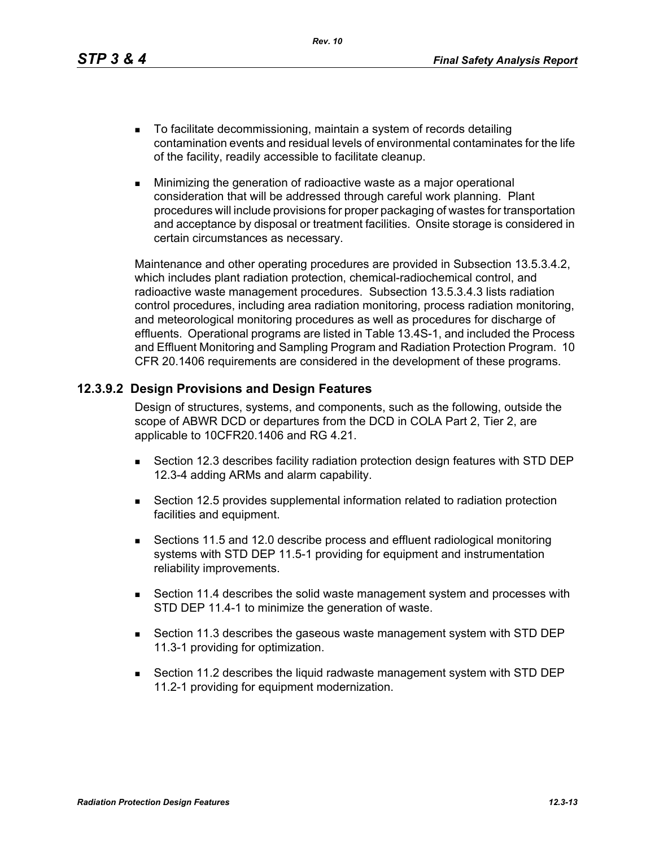*Rev. 10*

- To facilitate decommissioning, maintain a system of records detailing contamination events and residual levels of environmental contaminates for the life of the facility, readily accessible to facilitate cleanup.
- **Minimizing the generation of radioactive waste as a major operational** consideration that will be addressed through careful work planning. Plant procedures will include provisions for proper packaging of wastes for transportation and acceptance by disposal or treatment facilities. Onsite storage is considered in certain circumstances as necessary.

Maintenance and other operating procedures are provided in Subsection 13.5.3.4.2, which includes plant radiation protection, chemical-radiochemical control, and radioactive waste management procedures. Subsection 13.5.3.4.3 lists radiation control procedures, including area radiation monitoring, process radiation monitoring, and meteorological monitoring procedures as well as procedures for discharge of effluents. Operational programs are listed in Table 13.4S-1, and included the Process and Effluent Monitoring and Sampling Program and Radiation Protection Program. 10 CFR 20.1406 requirements are considered in the development of these programs.

### **12.3.9.2 Design Provisions and Design Features**

Design of structures, systems, and components, such as the following, outside the scope of ABWR DCD or departures from the DCD in COLA Part 2, Tier 2, are applicable to 10CFR20.1406 and RG 4.21.

- Section 12.3 describes facility radiation protection design features with STD DEP 12.3-4 adding ARMs and alarm capability.
- Section 12.5 provides supplemental information related to radiation protection facilities and equipment.
- Sections 11.5 and 12.0 describe process and effluent radiological monitoring systems with STD DEP 11.5-1 providing for equipment and instrumentation reliability improvements.
- Section 11.4 describes the solid waste management system and processes with STD DEP 11.4-1 to minimize the generation of waste.
- Section 11.3 describes the gaseous waste management system with STD DEP 11.3-1 providing for optimization.
- Section 11.2 describes the liquid radwaste management system with STD DEP 11.2-1 providing for equipment modernization.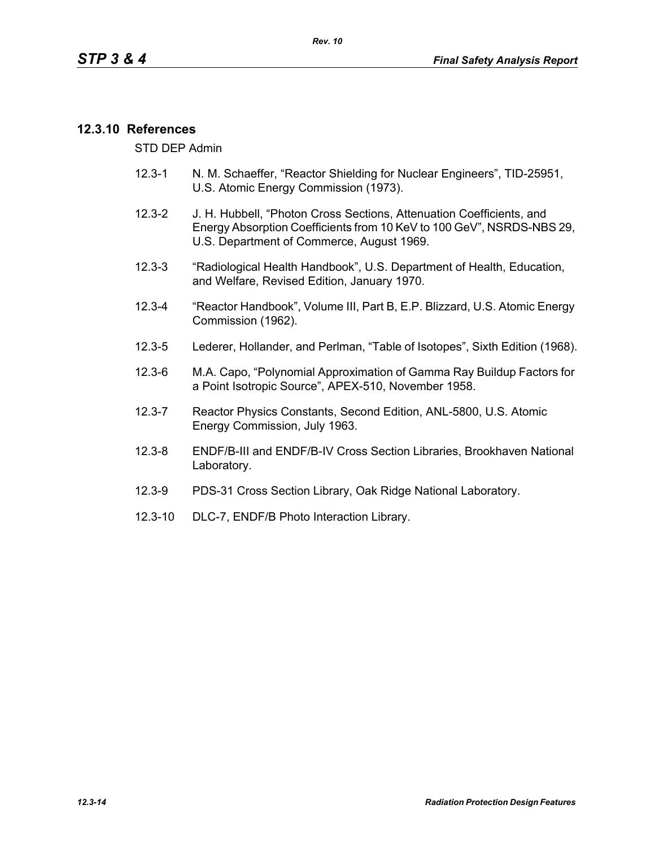### **12.3.10 References**

STD DEP Admin

- 12.3-1 N. M. Schaeffer, "Reactor Shielding for Nuclear Engineers", TID-25951, U.S. Atomic Energy Commission (1973).
- 12.3-2 J. H. Hubbell, "Photon Cross Sections, Attenuation Coefficients, and Energy Absorption Coefficients from 10 KeV to 100 GeV", NSRDS-NBS 29, U.S. Department of Commerce, August 1969.
- 12.3-3 "Radiological Health Handbook", U.S. Department of Health, Education, and Welfare, Revised Edition, January 1970.
- 12.3-4 "Reactor Handbook", Volume III, Part B, E.P. Blizzard, U.S. Atomic Energy Commission (1962).
- 12.3-5 Lederer, Hollander, and Perlman, "Table of Isotopes", Sixth Edition (1968).
- 12.3-6 M.A. Capo, "Polynomial Approximation of Gamma Ray Buildup Factors for a Point Isotropic Source", APEX-510, November 1958.
- 12.3-7 Reactor Physics Constants, Second Edition, ANL-5800, U.S. Atomic Energy Commission, July 1963.
- 12.3-8 ENDF/B-III and ENDF/B-IV Cross Section Libraries, Brookhaven National Laboratory.
- 12.3-9 PDS-31 Cross Section Library, Oak Ridge National Laboratory.
- 12.3-10 DLC-7, ENDF/B Photo Interaction Library.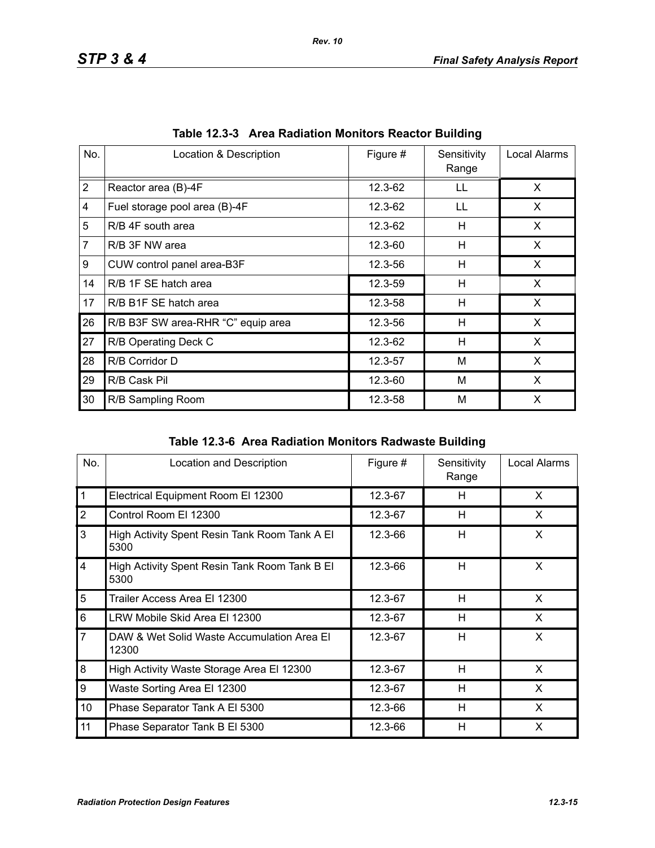| No.            | Location & Description             | Figure # | Sensitivity<br>Range | Local Alarms |
|----------------|------------------------------------|----------|----------------------|--------------|
| $\overline{2}$ | Reactor area (B)-4F                | 12.3-62  | LL                   | X            |
| 4              | Fuel storage pool area (B)-4F      | 12.3-62  | LL                   | X.           |
| 5              | R/B 4F south area                  | 12.3-62  | н                    | X            |
| $\overline{7}$ | R/B 3F NW area                     | 12.3-60  | H                    | X            |
| 9              | CUW control panel area-B3F         | 12.3-56  | н                    | X            |
| 14             | R/B 1F SE hatch area               | 12.3-59  | H                    | X            |
| 17             | R/B B1F SE hatch area              | 12.3-58  | H                    | X            |
| 26             | R/B B3F SW area-RHR "C" equip area | 12.3-56  | н                    | X.           |
| 27             | R/B Operating Deck C               | 12.3-62  | H                    | X            |
| 28             | R/B Corridor D                     | 12.3-57  | м                    | $\mathsf{x}$ |
| 29             | R/B Cask Pil                       | 12.3-60  | M                    | X            |
| 30             | R/B Sampling Room                  | 12.3-58  | M                    | X            |

|  | Table 12.3-3 Area Radiation Monitors Reactor Building |  |  |
|--|-------------------------------------------------------|--|--|
|  |                                                       |  |  |

| Table 12.3-6 Area Radiation Monitors Radwaste Building |
|--------------------------------------------------------|
|                                                        |

| No.            | Location and Description                              | Figure # | Sensitivity<br>Range | Local Alarms |
|----------------|-------------------------------------------------------|----------|----------------------|--------------|
| $\mathbf{1}$   | Electrical Equipment Room El 12300                    | 12.3-67  | H                    | X            |
| $\overline{2}$ | Control Room El 12300                                 | 12.3-67  | H                    | X            |
| 3              | High Activity Spent Resin Tank Room Tank A El<br>5300 | 12.3-66  | H                    | X            |
| $\overline{4}$ | High Activity Spent Resin Tank Room Tank B El<br>5300 | 12.3-66  | H                    | X            |
| 5              | Trailer Access Area El 12300                          | 12.3-67  | H                    | X            |
| 6              | LRW Mobile Skid Area El 12300                         | 12.3-67  | H                    | X            |
| $\overline{7}$ | DAW & Wet Solid Waste Accumulation Area El<br>12300   | 12.3-67  | H                    | X            |
| 8              | High Activity Waste Storage Area El 12300             | 12.3-67  | H                    | X            |
| 9              | Waste Sorting Area El 12300                           | 12.3-67  | H                    | X            |
| 10             | Phase Separator Tank A El 5300                        | 12.3-66  | H                    | X            |
| 11             | Phase Separator Tank B El 5300                        | 12.3-66  | H                    | X            |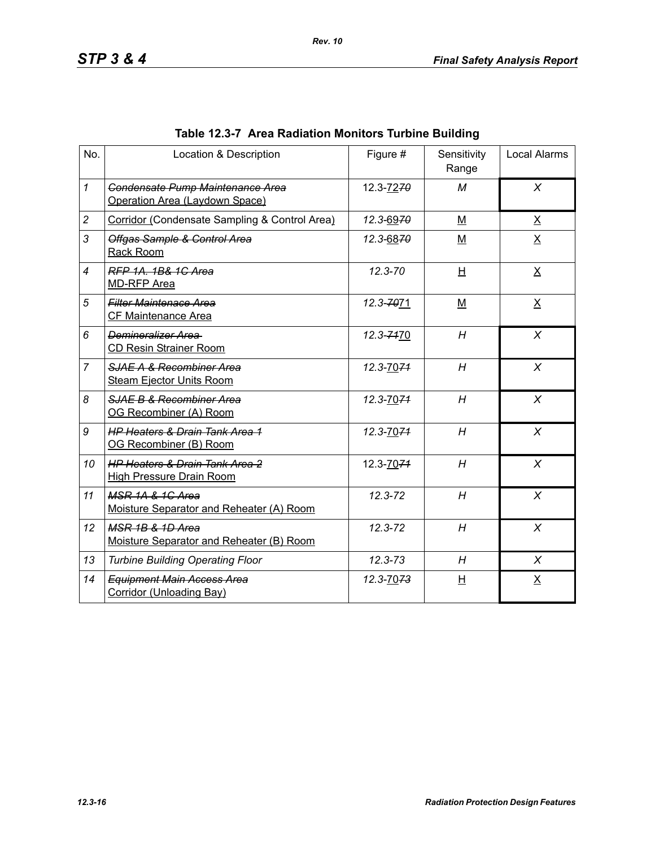| No.            | Location & Description                                                       | Figure #    | Sensitivity<br>Range | <b>Local Alarms</b> |
|----------------|------------------------------------------------------------------------------|-------------|----------------------|---------------------|
| $\mathbf{1}$   | Condensate Pump Maintenance Area<br>Operation Area (Laydown Space)           | 12.3-7270   | M                    | $\chi$              |
| $\overline{c}$ | Corridor (Condensate Sampling & Control Area)                                | 12.3-6970   | M                    | $\underline{X}$     |
| 3              | Offgas Sample & Control Area<br>Rack Room                                    | 12.3-6870   | M                    | $\underline{X}$     |
| $\overline{4}$ | RFP 1A, 1B& 1C Area<br><b>MD-RFP Area</b>                                    | $12.3 - 70$ | H                    | X                   |
| 5              | <b>Filter Maintenace Area</b><br>CF Maintenance Area                         | 12.3-7071   | $M$                  | $\underline{X}$     |
| 6              | Demineralizer Area<br><b>CD Resin Strainer Room</b>                          | 12.3-7470   | H                    | $\chi$              |
| $\overline{7}$ | SJAE A & Recombiner Area<br><b>Steam Ejector Units Room</b>                  | 12.3-7074   | H                    | X                   |
| 8              | SJAE B & Recombiner Area<br>OG Recombiner (A) Room                           | 12.3-7074   | H                    | $\chi$              |
| 9              | <b>HP Heaters &amp; Drain Tank Area 1</b><br>OG Recombiner (B) Room          | 12.3-7074   | H                    | $\chi$              |
| 10             | <b>HP Heaters &amp; Drain Tank Area 2</b><br><b>High Pressure Drain Room</b> | 12.3-7074   | H                    | $\chi$              |
| 11             | MSR 1A & 1G Area<br>Moisture Separator and Reheater (A) Room                 | 12.3-72     | H                    | X                   |
| 12             | MSR 1B & 1D Area<br>Moisture Separator and Reheater (B) Room                 | 12.3-72     | H                    | X                   |
| 13             | <b>Turbine Building Operating Floor</b>                                      | $12.3 - 73$ | H                    | X                   |
| 14             | <b>Equipment Main Access Area</b><br>Corridor (Unloading Bay)                | 12.3-7073   | 旦                    | $\underline{X}$     |

# **Table 12.3-7 Area Radiation Monitors Turbine Building**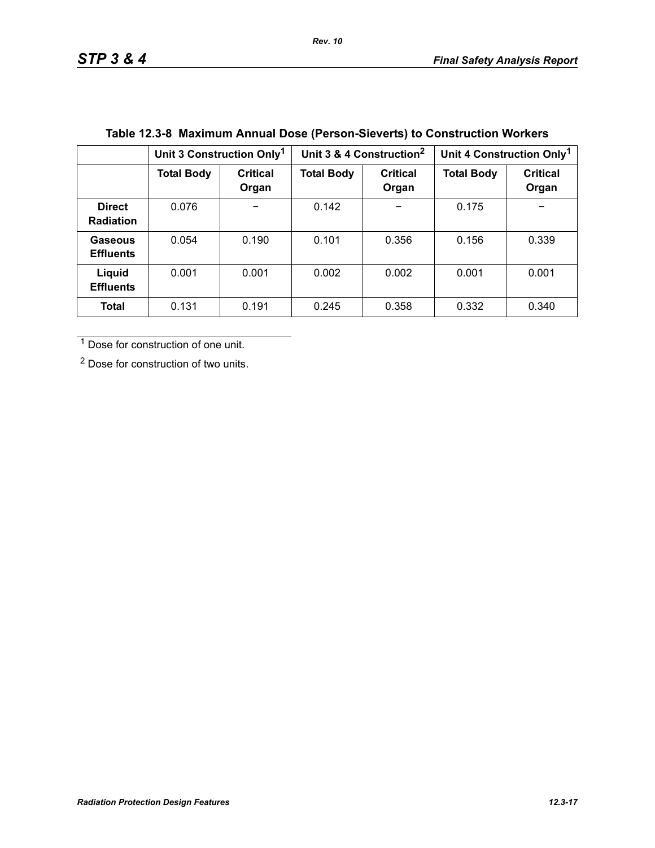|                                   | Unit 3 Construction Only <sup>1</sup> |                          | Unit 3 & 4 Construction <sup>2</sup> |                          | Unit 4 Construction Only <sup>1</sup> |                          |
|-----------------------------------|---------------------------------------|--------------------------|--------------------------------------|--------------------------|---------------------------------------|--------------------------|
|                                   | <b>Total Body</b>                     | <b>Critical</b><br>Organ | <b>Total Body</b>                    | <b>Critical</b><br>Organ | <b>Total Body</b>                     | <b>Critical</b><br>Organ |
| <b>Direct</b><br><b>Radiation</b> | 0.076                                 |                          | 0.142                                | -                        | 0.175                                 |                          |
| Gaseous<br><b>Effluents</b>       | 0.054                                 | 0.190                    | 0.101                                | 0.356                    | 0.156                                 | 0.339                    |
| Liquid<br><b>Effluents</b>        | 0.001                                 | 0.001                    | 0.002                                | 0.002                    | 0.001                                 | 0.001                    |
| <b>Total</b>                      | 0.131                                 | 0.191                    | 0.245                                | 0.358                    | 0.332                                 | 0.340                    |

# **Table 12.3-8 Maximum Annual Dose (Person-Sieverts) to Construction Workers**

1 Dose for construction of one unit.

2 Dose for construction of two units.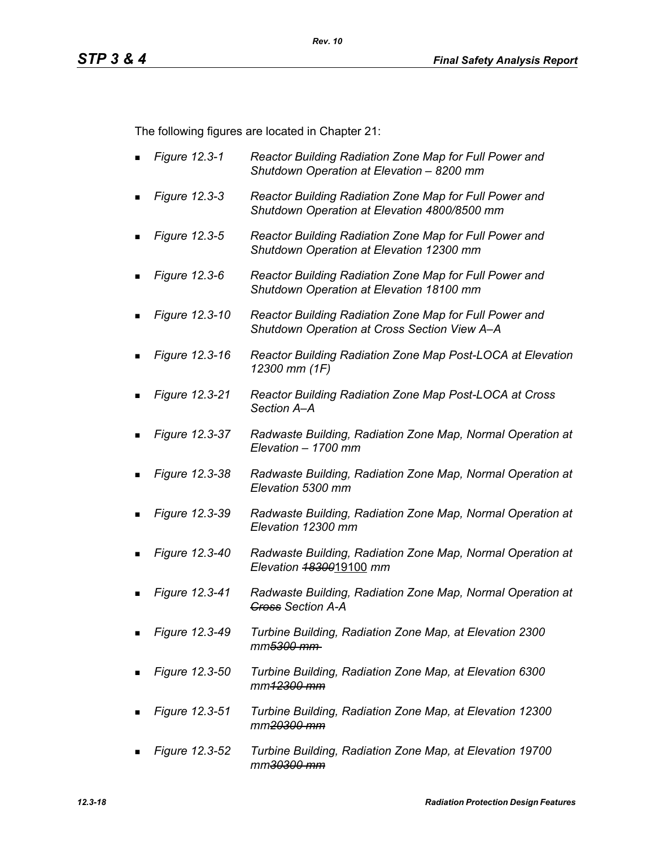The following figures are located in Chapter 21:

- *Figure 12.3-1 Reactor Building Radiation Zone Map for Full Power and Shutdown Operation at Elevation – 8200 mm*
- *Figure 12.3-3 Reactor Building Radiation Zone Map for Full Power and Shutdown Operation at Elevation 4800/8500 mm*
- *Figure 12.3-5 Reactor Building Radiation Zone Map for Full Power and Shutdown Operation at Elevation 12300 mm*
- *Figure 12.3-6 Reactor Building Radiation Zone Map for Full Power and Shutdown Operation at Elevation 18100 mm*
- *Figure 12.3-10 Reactor Building Radiation Zone Map for Full Power and Shutdown Operation at Cross Section View A–A*
- *Figure 12.3-16 Reactor Building Radiation Zone Map Post-LOCA at Elevation 12300 mm (1F)*
- *Figure 12.3-21 Reactor Building Radiation Zone Map Post-LOCA at Cross Section A–A*
- *Figure 12.3-37 Radwaste Building, Radiation Zone Map, Normal Operation at Elevation – 1700 mm*
- *Figure 12.3-38 Radwaste Building, Radiation Zone Map, Normal Operation at Elevation 5300 mm*
- *Figure 12.3-39 Radwaste Building, Radiation Zone Map, Normal Operation at Elevation 12300 mm*
- *Figure 12.3-40 Radwaste Building, Radiation Zone Map, Normal Operation at Elevation 18300*19100 *mm*
- *Figure 12.3-41 Radwaste Building, Radiation Zone Map, Normal Operation at Cross Section A-A*
- *Figure 12.3-49 Turbine Building, Radiation Zone Map, at Elevation 2300 mm5300 mm*
- *Figure 12.3-50 Turbine Building, Radiation Zone Map, at Elevation 6300 mm12300 mm*
- *Figure 12.3-51 Turbine Building, Radiation Zone Map, at Elevation 12300 mm20300 mm*
- *Figure 12.3-52 Turbine Building, Radiation Zone Map, at Elevation 19700 mm30300 mm*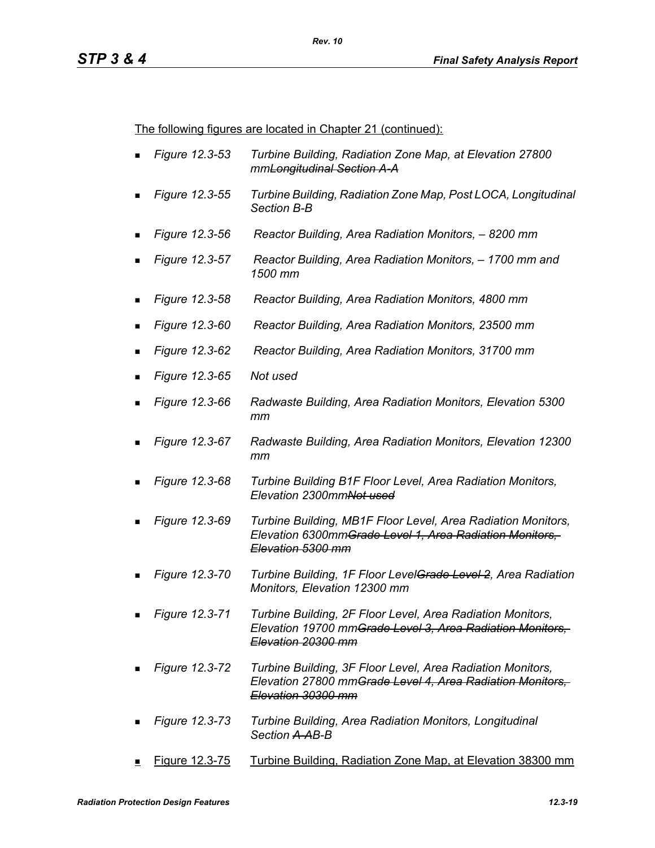The following figures are located in Chapter 21 (continued):

- *Figure 12.3-53 Turbine Building, Radiation Zone Map, at Elevation 27800 mmLongitudinal Section A-A*
- *Figure 12.3-55 Turbine Building, Radiation Zone Map, Post LOCA, Longitudinal Section B-B*
- *Figure 12.3-56 Reactor Building, Area Radiation Monitors, 8200 mm*
- *Figure 12.3-57 Reactor Building, Area Radiation Monitors, 1700 mm and 1500 mm*
- *Figure 12.3-58 Reactor Building, Area Radiation Monitors, 4800 mm*
- *Figure 12.3-60 Reactor Building, Area Radiation Monitors, 23500 mm*
- *Figure 12.3-62 Reactor Building, Area Radiation Monitors, 31700 mm*
- *Figure 12.3-65 Not used*
- *Figure 12.3-66 Radwaste Building, Area Radiation Monitors, Elevation 5300 mm*
- *Figure 12.3-67 Radwaste Building, Area Radiation Monitors, Elevation 12300 mm*
- *Figure 12.3-68 Turbine Building B1F Floor Level, Area Radiation Monitors, Elevation 2300mmNot used*
- *Figure 12.3-69 Turbine Building, MB1F Floor Level, Area Radiation Monitors, Elevation 6300mmGrade Level 1, Area Radiation Monitors, Elevation 5300 mm*
- *Figure 12.3-70 Turbine Building, 1F Floor LevelGrade Level 2, Area Radiation Monitors, Elevation 12300 mm*
- *Figure 12.3-71 Turbine Building, 2F Floor Level, Area Radiation Monitors, Elevation 19700 mmGrade Level 3, Area Radiation Monitors, Elevation 20300 mm*
- *Figure 12.3-72 Turbine Building, 3F Floor Level, Area Radiation Monitors, Elevation 27800 mmGrade Level 4, Area Radiation Monitors, Elevation 30300 mm*
- *Figure 12.3-73 Turbine Building, Area Radiation Monitors, Longitudinal Section A-AB-B*
- Figure 12.3-75 Turbine Building, Radiation Zone Map, at Elevation 38300 mm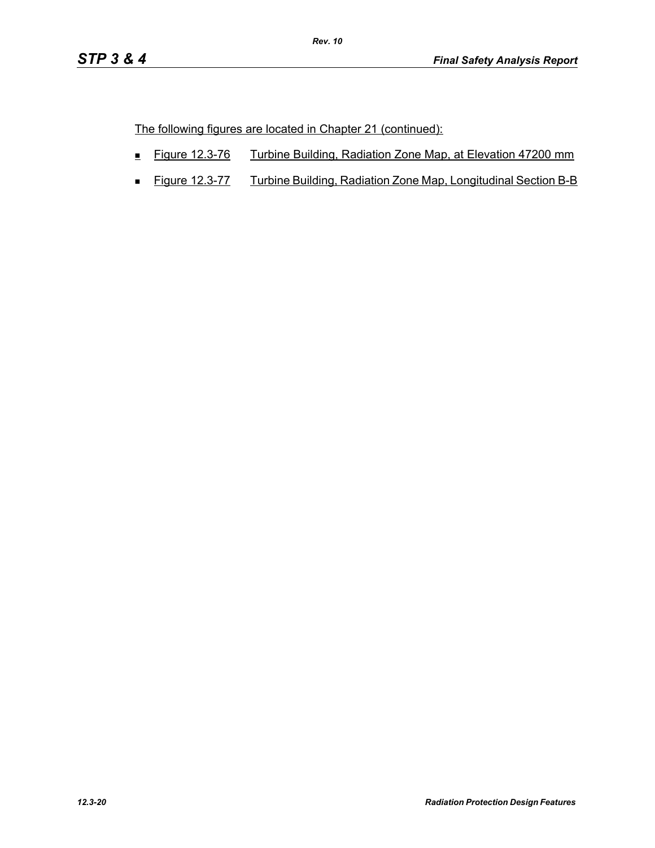The following figures are located in Chapter 21 (continued):

- Figure 12.3-76 Turbine Building, Radiation Zone Map, at Elevation 47200 mm
- **Figure 12.3-77** Turbine Building, Radiation Zone Map, Longitudinal Section B-B